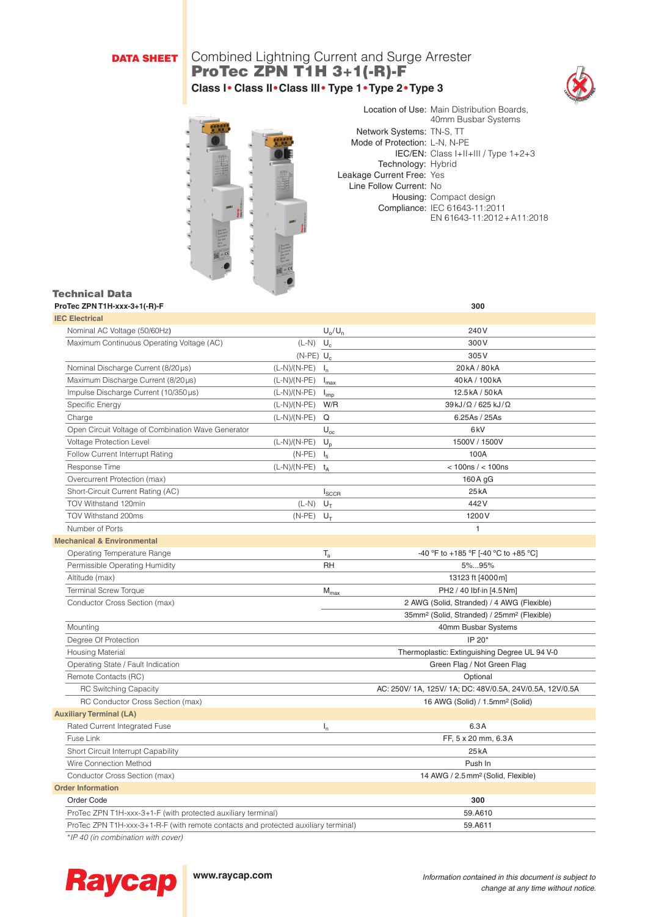# DATA SHEET

# Combined Lightning Current and Surge Arrester ProTec ZPN T1H 3+1(-R)-F **Class I• Class II•Class III• Type 1•Type 2•Type 3**





Location of Use: Main Distribution Boards, 40mm Busbar Systems Network Systems: TN-S, TT Mode of Protection: L-N, N-PE IEC/EN: Class I+II+III / Type 1+2+3 Technology: Hybrid Leakage Current Free: Yes Line Follow Current: No Housing: Compact design Compliance: IEC 61643-11:2011 EN 61643-11:2012+A11:2018

| Technical Data                                                                     | $\mathcal{L}$                                                |                       |                                                                    |
|------------------------------------------------------------------------------------|--------------------------------------------------------------|-----------------------|--------------------------------------------------------------------|
| ProTec ZPN T1H-xxx-3+1(-R)-F                                                       |                                                              |                       | 300                                                                |
| <b>IEC Electrical</b>                                                              |                                                              |                       |                                                                    |
| Nominal AC Voltage (50/60Hz)                                                       |                                                              | $U_{\rm o}/U_{\rm n}$ | 240V                                                               |
| Maximum Continuous Operating Voltage (AC)                                          | $(L-N)$ $U_c$                                                |                       | 300V                                                               |
|                                                                                    | $(N-PE)$ U <sub>c</sub>                                      |                       | 305V                                                               |
| Nominal Discharge Current (8/20 µs)                                                | $(L-N)/(N-PE)$ $I_n$                                         |                       | 20kA / 80kA                                                        |
| Maximum Discharge Current (8/20µs)                                                 | (L-N)/(N-PE)                                                 | $I_{\text{max}}$      | 40kA / 100kA                                                       |
| Impulse Discharge Current (10/350µs)                                               | (L-N)/(N-PE)                                                 | $I_{imp}$             | 12.5kA / 50kA                                                      |
| Specific Energy                                                                    | (L-N)/(N-PE)                                                 | W/R                   | 39kJ/Ω / 625 kJ/Ω                                                  |
| Charge                                                                             | $(L-N)/(N-PE)$                                               | Q                     | 6.25As / 25As                                                      |
| Open Circuit Voltage of Combination Wave Generator                                 |                                                              | $U_{\rm oc}$          | 6 <sub>k</sub> V                                                   |
| Voltage Protection Level                                                           | (L-N)/(N-PE)                                                 | $U_{p}$               | 1500V / 1500V                                                      |
| Follow Current Interrupt Rating                                                    | $(N-PE)$                                                     | $I_{fi}$              | 100A                                                               |
| Response Time                                                                      | $(L-N)/(N-PE)$ $t_A$                                         |                       | < 100ns / < 100ns                                                  |
| Overcurrent Protection (max)                                                       |                                                              |                       | 160 A gG                                                           |
| Short-Circuit Current Rating (AC)                                                  |                                                              | $I_{SCCR}$            | 25kA                                                               |
| TOV Withstand 120min                                                               | $(L-N)$                                                      | $U_T$                 | 442V                                                               |
| TOV Withstand 200ms                                                                | $(N-PE)$                                                     | $U_T$                 | 1200 V                                                             |
| Number of Ports                                                                    |                                                              |                       | $\mathbf{1}$                                                       |
| <b>Mechanical &amp; Environmental</b>                                              |                                                              |                       |                                                                    |
| Operating Temperature Range                                                        |                                                              | $T_{\rm a}$           | -40 °F to +185 °F [-40 °C to +85 °C]                               |
| Permissible Operating Humidity                                                     |                                                              | RH                    | 5%95%                                                              |
| Altitude (max)                                                                     |                                                              |                       | 13123 ft [4000m]                                                   |
| <b>Terminal Screw Torque</b>                                                       |                                                              | $M_{max}$             | PH2 / 40 lbf-in [4.5 Nm]                                           |
| Conductor Cross Section (max)                                                      |                                                              |                       | 2 AWG (Solid, Stranded) / 4 AWG (Flexible)                         |
|                                                                                    |                                                              |                       | 35mm <sup>2</sup> (Solid, Stranded) / 25mm <sup>2</sup> (Flexible) |
| Mounting                                                                           |                                                              |                       | 40mm Busbar Systems                                                |
| Degree Of Protection                                                               |                                                              |                       | IP 20*                                                             |
| Housing Material                                                                   |                                                              |                       | Thermoplastic: Extinguishing Degree UL 94 V-0                      |
| Operating State / Fault Indication                                                 |                                                              |                       | Green Flag / Not Green Flag                                        |
| Remote Contacts (RC)                                                               |                                                              |                       | Optional                                                           |
| <b>RC Switching Capacity</b>                                                       |                                                              |                       | AC: 250V/ 1A, 125V/ 1A; DC: 48V/0.5A, 24V/0.5A, 12V/0.5A           |
| RC Conductor Cross Section (max)                                                   |                                                              |                       | 16 AWG (Solid) / 1.5mm <sup>2</sup> (Solid)                        |
| <b>Auxiliary Terminal (LA)</b>                                                     |                                                              |                       |                                                                    |
| Rated Current Integrated Fuse                                                      |                                                              | $I_n$                 | 6.3A                                                               |
| Fuse Link                                                                          |                                                              |                       | FF, 5 x 20 mm, 6.3A                                                |
| Short Circuit Interrupt Capability                                                 |                                                              |                       | 25kA                                                               |
| Wire Connection Method                                                             |                                                              |                       | Push In                                                            |
| Conductor Cross Section (max)                                                      |                                                              |                       | 14 AWG / 2.5 mm <sup>2</sup> (Solid, Flexible)                     |
| <b>Order Information</b>                                                           |                                                              |                       |                                                                    |
| Order Code                                                                         |                                                              |                       | 300                                                                |
|                                                                                    | ProTec ZPN T1H-xxx-3+1-F (with protected auxiliary terminal) |                       |                                                                    |
| ProTec ZPN T1H-xxx-3+1-R-F (with remote contacts and protected auxiliary terminal) |                                                              |                       | 59.A611                                                            |
|                                                                                    |                                                              |                       |                                                                    |

*\*IP 40 (in combination with cover)*



**www.raycap.com** *Information contained in this document is subject to change at any time without notice.*